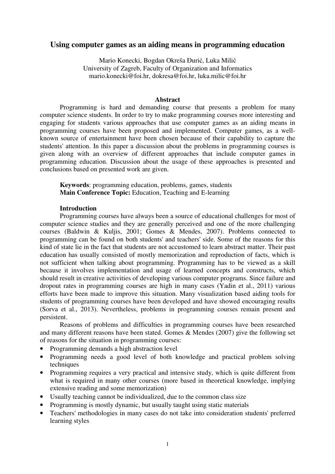# **Using computer games as an aiding means in programming education**

Mario Konecki, Bogdan Okreša Đurić, Luka Milić University of Zagreb, Faculty of Organization and Informatics mario.konecki@foi.hr, dokresa@foi.hr, luka.milic@foi.hr

#### **Abstract**

Programming is hard and demanding course that presents a problem for many computer science students. In order to try to make programming courses more interesting and engaging for students various approaches that use computer games as an aiding means in programming courses have been proposed and implemented. Computer games, as a wellknown source of entertainment have been chosen because of their capability to capture the students' attention. In this paper a discussion about the problems in programming courses is given along with an overview of different approaches that include computer games in programming education. Discussion about the usage of these approaches is presented and conclusions based on presented work are given.

**Keywords**: programming education, problems, games, students **Main Conference Topic:** Education, Teaching and E-learning

## **Introduction**

Programming courses have always been a source of educational challenges for most of computer science studies and they are generally perceived and one of the more challenging courses (Baldwin & Kuljis, 2001; Gomes & Mendes, 2007). Problems connected to programming can be found on both students' and teachers' side. Some of the reasons for this kind of state lie in the fact that students are not accustomed to learn abstract matter. Their past education has usually consisted of mostly memorization and reproduction of facts, which is not sufficient when talking about programming. Programming has to be viewed as a skill because it involves implementation and usage of learned concepts and constructs, which should result in creative activities of developing various computer programs. Since failure and dropout rates in programming courses are high in many cases (Yadin et al., 2011) various efforts have been made to improve this situation. Many visualization based aiding tools for students of programming courses have been developed and have showed encouraging results (Sorva et al., 2013). Nevertheless, problems in programming courses remain present and persistent.

Reasons of problems and difficulties in programming courses have been researched and many different reasons have been stated. Gomes & Mendes (2007) give the following set of reasons for the situation in programming courses:

- Programming demands a high abstraction level
- Programming needs a good level of both knowledge and practical problem solving techniques
- Programming requires a very practical and intensive study, which is quite different from what is required in many other courses (more based in theoretical knowledge, implying extensive reading and some memorization)
- Usually teaching cannot be individualized, due to the common class size
- Programming is mostly dynamic, but usually taught using static materials
- Teachers' methodologies in many cases do not take into consideration students' preferred learning styles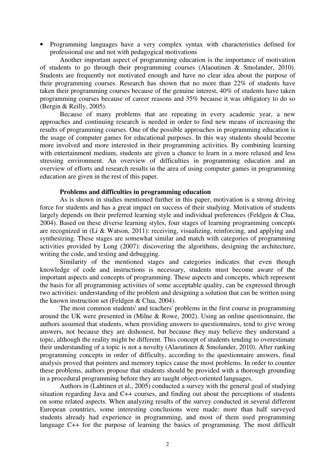• Programming languages have a very complex syntax with characteristics defined for professional use and not with pedagogical motivations

Another important aspect of programming education is the importance of motivation of students to go through their programming courses (Alaoutinen & Smolander, 2010). Students are frequently not motivated enough and have no clear idea about the purpose of their programming courses. Research has shown that no more than 22% of students have taken their programming courses because of the genuine interest, 40% of students have taken programming courses because of career reasons and 35% because it was obligatory to do so (Bergin & Reilly, 2005).

Because of many problems that are repeating in every academic year, a new approaches and continuing research is needed in order to find new means of increasing the results of programming courses. One of the possible approaches in programming education is the usage of computer games for educational purposes. In this way students should become more involved and more interested in their programming activities. By combining learning with entertainment medium, students are given a chance to learn in a more relaxed and less stressing environment. An overview of difficulties in programming education and an overview of efforts and research results in the area of using computer games in programming education are given in the rest of this paper.

#### **Problems and difficulties in programming education**

As is shown in studies mentioned further in this paper, motivation is a strong driving force for students and has a great impact on success of their studying. Motivation of students largely depends on their preferred learning style and individual preferences (Feldgen & Clua, 2004). Based on these diverse learning styles, four stages of learning programming concepts are recognized in (Li & Watson, 2011): receiving, visualizing, reinforcing, and applying and synthesizing. These stages are somewhat similar and match with categories of programming activities provided by Long (2007): discovering the algorithms, designing the architecture, writing the code, and testing and debugging.

Similarity of the mentioned stages and categories indicates that even though knowledge of code and instructions is necessary, students must become aware of the important aspects and concepts of programming. These aspects and concepts, which represent the basis for all programming activities of some acceptable quality, can be expressed through two activities: understanding of the problem and designing a solution that can be written using the known instruction set (Feldgen & Clua, 2004).

The most common students' and teachers' problems in the first course in programming around the UK were presented in (Milne & Rowe, 2002). Using an online questionnaire, the authors assumed that students, when providing answers to questionnaires, tend to give wrong answers, not because they are dishonest, but because they may believe they understand a topic, although the reality might be different. This concept of students tending to overestimate their understanding of a topic is not a novelty (Alaoutinen & Smolander, 2010). After ranking programming concepts in order of difficulty, according to the questionnaire answers, final analysis proved that pointers and memory topics cause the most problems. In order to counter these problems, authors propose that students should be provided with a thorough grounding in a procedural programming before they are taught object-oriented languages.

Authors in (Lahtinen et al., 2005) conducted a survey with the general goal of studying situation regarding Java and C++ courses, and finding out about the perceptions of students on some related aspects. When analyzing results of the survey conducted in several different European countries, some interesting conclusions were made: more than half surveyed students already had experience in programming, and most of them used programming language C++ for the purpose of learning the basics of programming. The most difficult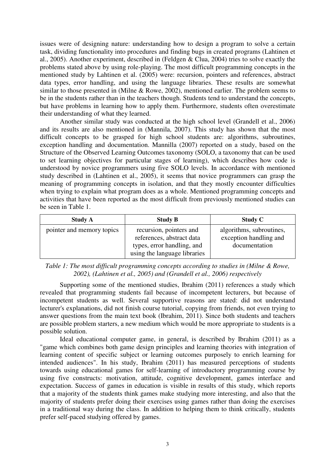issues were of designing nature: understanding how to design a program to solve a certain task, dividing functionality into procedures and finding bugs in created programs (Lahtinen et al., 2005). Another experiment, described in (Feldgen & Clua, 2004) tries to solve exactly the problems stated above by using role-playing. The most difficult programming concepts in the mentioned study by Lahtinen et al. (2005) were: recursion, pointers and references, abstract data types, error handling, and using the language libraries. These results are somewhat similar to those presented in (Milne & Rowe, 2002), mentioned earlier. The problem seems to be in the students rather than in the teachers though. Students tend to understand the concepts, but have problems in learning how to apply them. Furthermore, students often overestimate their understanding of what they learned.

Another similar study was conducted at the high school level (Grandell et al., 2006) and its results are also mentioned in (Mannila, 2007). This study has shown that the most difficult concepts to be grasped for high school students are: algorithms, subroutines, exception handling and documentation. Mannilla (2007) reported on a study, based on the Structure of the Observed Learning Outcomes taxonomy (SOLO, a taxonomy that can be used to set learning objectives for particular stages of learning), which describes how code is understood by novice programmers using five SOLO levels. In accordance with mentioned study described in (Lahtinen et al., 2005), it seems that novice programmers can grasp the meaning of programming concepts in isolation, and that they mostly encounter difficulties when trying to explain what program does as a whole. Mentioned programming concepts and activities that have been reported as the most difficult from previously mentioned studies can be seen in Table 1.

| <b>Study A</b>            | <b>Study B</b>                                                                                                     | Study C                                                             |
|---------------------------|--------------------------------------------------------------------------------------------------------------------|---------------------------------------------------------------------|
| pointer and memory topics | recursion, pointers and<br>references, abstract data<br>types, error handling, and<br>using the language libraries | algorithms, subroutines,<br>exception handling and<br>documentation |

*Table 1: The most difficult programming concepts according to studies in (Milne & Rowe, 2002), (Lahtinen et al., 2005) and (Grandell et al., 2006) respectively* 

Supporting some of the mentioned studies, Ibrahim (2011) references a study which revealed that programming students fail because of incompetent lecturers, but because of incompetent students as well. Several supportive reasons are stated: did not understand lecturer's explanations, did not finish course tutorial, copying from friends, not even trying to answer questions from the main text book (Ibrahim, 2011). Since both students and teachers are possible problem starters, a new medium which would be more appropriate to students is a possible solution.

Ideal educational computer game, in general, is described by Ibrahim (2011) as a "game which combines both game design principles and learning theories with integration of learning content of specific subject or learning outcomes purposely to enrich learning for intended audiences". In his study, Ibrahim (2011) has measured perceptions of students towards using educational games for self-learning of introductory programming course by using five constructs: motivation, attitude, cognitive development, games interface and expectation. Success of games in education is visible in results of this study, which reports that a majority of the students think games make studying more interesting, and also that the majority of students prefer doing their exercises using games rather than doing the exercises in a traditional way during the class. In addition to helping them to think critically, students prefer self-paced studying offered by games.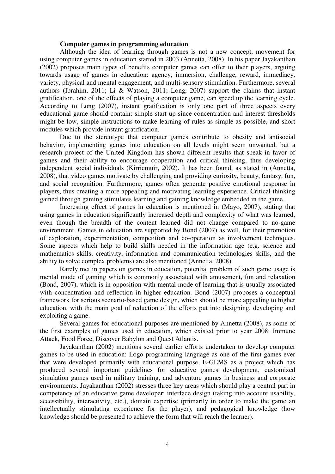### **Computer games in programming education**

Although the idea of learning through games is not a new concept, movement for using computer games in education started in 2003 (Annetta, 2008). In his paper Jayakanthan (2002) proposes main types of benefits computer games can offer to their players, arguing towards usage of games in education: agency, immersion, challenge, reward, immediacy, variety, physical and mental engagement, and multi-sensory stimulation. Furthermore, several authors (Ibrahim, 2011; Li & Watson, 2011; Long, 2007) support the claims that instant gratification, one of the effects of playing a computer game, can speed up the learning cycle. According to Long (2007), instant gratification is only one part of three aspects every educational game should contain: simple start up since concentration and interest thresholds might be low, simple instructions to make learning of rules as simple as possible, and short modules which provide instant gratification.

Due to the stereotype that computer games contribute to obesity and antisocial behavior, implementing games into education on all levels might seem unwanted, but a research project of the United Kingdom has shown different results that speak in favor of games and their ability to encourage cooperation and critical thinking, thus developing independent social individuals (Kirriemuir, 2002). It has been found, as stated in (Annetta, 2008), that video games motivate by challenging and providing curiosity, beauty, fantasy, fun, and social recognition. Furthermore, games often generate positive emotional response in players, thus creating a more appealing and motivating learning experience. Critical thinking gained through gaming stimulates learning and gaining knowledge embedded in the game.

Interesting effect of games in education is mentioned in (Mayo, 2007), stating that using games in education significantly increased depth and complexity of what was learned, even though the breadth of the content learned did not change compared to no-game environment. Games in education are supported by Bond (2007) as well, for their promotion of exploration, experimentation, competition and co-operation as involvement techniques. Some aspects which help to build skills needed in the information age (e.g. science and mathematics skills, creativity, information and communication technologies skills, and the ability to solve complex problems) are also mentioned (Annetta, 2008).

Rarely met in papers on games in education, potential problem of such game usage is mental mode of gaming which is commonly associated with amusement, fun and relaxation (Bond, 2007), which is in opposition with mental mode of learning that is usually associated with concentration and reflection in higher education. Bond (2007) proposes a conceptual framework for serious scenario-based game design, which should be more appealing to higher education, with the main goal of reduction of the efforts put into designing, developing and exploiting a game.

Several games for educational purposes are mentioned by Annetta (2008), as some of the first examples of games used in education, which existed prior to year 2008: Immune Attack, Food Force, Discover Babylon and Quest Atlantis.

Jayakanthan (2002) mentions several earlier efforts undertaken to develop computer games to be used in education: Logo programming language as one of the first games ever that were developed primarily with educational purpose, E-GEMS as a project which has produced several important guidelines for educative games development, customized simulation games used in military training, and adventure games in business and corporate environments. Jayakanthan (2002) stresses three key areas which should play a central part in competency of an educative game developer: interface design (taking into account usability, accessibility, interactivity, etc.), domain expertise (primarily in order to make the game an intellectually stimulating experience for the player), and pedagogical knowledge (how knowledge should be presented to achieve the form that will reach the learner).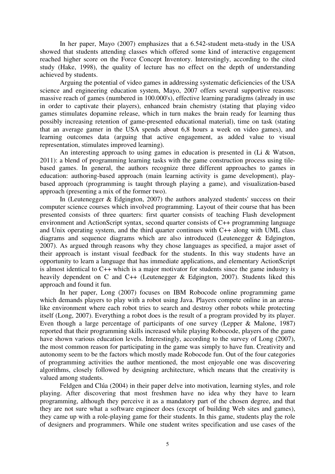In her paper, Mayo (2007) emphasizes that a 6.542-student meta-study in the USA showed that students attending classes which offered some kind of interactive engagement reached higher score on the Force Concept Inventory. Interestingly, according to the cited study (Hake, 1998), the quality of lecture has no effect on the depth of understanding achieved by students.

Arguing the potential of video games in addressing systematic deficiencies of the USA science and engineering education system, Mayo, 2007 offers several supportive reasons: massive reach of games (numbered in 100.000's), effective learning paradigms (already in use in order to captivate their players), enhanced brain chemistry (stating that playing video games stimulates dopamine release, which in turn makes the brain ready for learning thus possibly increasing retention of game-presented educational material), time on task (stating that an average gamer in the USA spends about 6,8 hours a week on video games), and learning outcomes data (arguing that active engagement, as added value to visual representation, stimulates improved learning).

An interesting approach to using games in education is presented in (Li & Watson, 2011): a blend of programming learning tasks with the game construction process using tilebased games. In general, the authors recognize three different approaches to games in education: authoring-based approach (main learning activity is game development), playbased approach (programming is taught through playing a game), and visualization-based approach (presenting a mix of the former two).

In (Leutenegger & Edgington, 2007) the authors analyzed students' success on their computer science courses which involved programming. Layout of their course that has been presented consists of three quarters: first quarter consists of teaching Flash development environment and ActionScript syntax, second quarter consists of C++ programming language and Unix operating system, and the third quarter continues with C++ along with UML class diagrams and sequence diagrams which are also introduced (Leutenegger & Edgington, 2007). As argued through reasons why they chose languages as specified, a major asset of their approach is instant visual feedback for the students. In this way students have an opportunity to learn a language that has immediate applications, and elementary ActionScript is almost identical to C++ which is a major motivator for students since the game industry is heavily dependent on C and C++ (Leutenegger & Edgington, 2007). Students liked this approach and found it fun.

In her paper, Long (2007) focuses on IBM Robocode online programming game which demands players to play with a robot using Java. Players compete online in an arenalike environment where each robot tries to search and destroy other robots while protecting itself (Long, 2007). Everything a robot does is the result of a program provided by its player. Even though a large percentage of participants of one survey (Lepper & Malone, 1987) reported that their programming skills increased while playing Robocode, players of the game have shown various education levels. Interestingly, according to the survey of Long (2007), the most common reason for participating in the game was simply to have fun. Creativity and autonomy seem to be the factors which mostly made Robocode fun. Out of the four categories of programming activities the author mentioned, the most enjoyable one was discovering algorithms, closely followed by designing architecture, which means that the creativity is valued among students.

Feldgen and Clúa (2004) in their paper delve into motivation, learning styles, and role playing. After discovering that most freshmen have no idea why they have to learn programming, although they perceive it as a mandatory part of the chosen degree, and that they are not sure what a software engineer does (except of building Web sites and games), they came up with a role-playing game for their students. In this game, students play the role of designers and programmers. While one student writes specification and use cases of the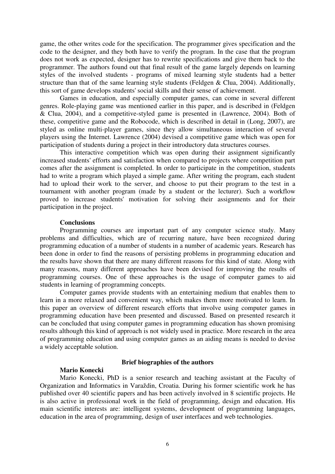game, the other writes code for the specification. The programmer gives specification and the code to the designer, and they both have to verify the program. In the case that the program does not work as expected, designer has to rewrite specifications and give them back to the programmer. The authors found out that final result of the game largely depends on learning styles of the involved students - programs of mixed learning style students had a better structure than that of the same learning style students (Feldgen & Clua, 2004). Additionally, this sort of game develops students' social skills and their sense of achievement.

Games in education, and especially computer games, can come in several different genres. Role-playing game was mentioned earlier in this paper, and is described in (Feldgen & Clua, 2004), and a competitive-styled game is presented in (Lawrence, 2004). Both of these, competitive game and the Robocode, which is described in detail in (Long, 2007), are styled as online multi-player games, since they allow simultaneous interaction of several players using the Internet. Lawrence (2004) devised a competitive game which was open for participation of students during a project in their introductory data structures courses.

This interactive competition which was open during their assignment significantly increased students' efforts and satisfaction when compared to projects where competition part comes after the assignment is completed. In order to participate in the competition, students had to write a program which played a simple game. After writing the program, each student had to upload their work to the server, and choose to put their program to the test in a tournament with another program (made by a student or the lecturer). Such a workflow proved to increase students' motivation for solving their assignments and for their participation in the project.

### **Conclusions**

Programming courses are important part of any computer science study. Many problems and difficulties, which are of recurring nature, have been recognized during programming education of a number of students in a number of academic years. Research has been done in order to find the reasons of persisting problems in programming education and the results have shown that there are many different reasons for this kind of state. Along with many reasons, many different approaches have been devised for improving the results of programming courses. One of these approaches is the usage of computer games to aid students in learning of programming concepts.

Computer games provide students with an entertaining medium that enables them to learn in a more relaxed and convenient way, which makes them more motivated to learn. In this paper an overview of different research efforts that involve using computer games in programming education have been presented and discussed. Based on presented research it can be concluded that using computer games in programming education has shown promising results although this kind of approach is not widely used in practice. More research in the area of programming education and using computer games as an aiding means is needed to devise a widely acceptable solution.

### **Mario Konecki**

### **Brief biographies of the authors**

Mario Konecki, PhD is a senior research and teaching assistant at the Faculty of Organization and Informatics in Varaždin, Croatia. During his former scientific work he has published over 40 scientific papers and has been actively involved in 8 scientific projects. He is also active in professional work in the field of programming, design and education. His main scientific interests are: intelligent systems, development of programming languages, education in the area of programming, design of user interfaces and web technologies.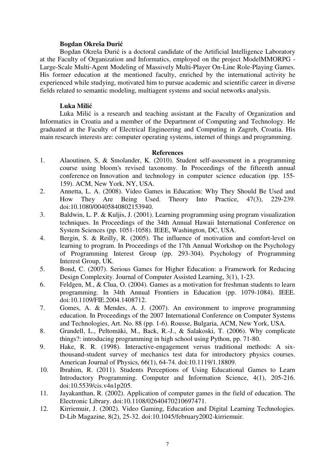## **Bogdan Okreša Đurić**

Bogdan Okreša Đurić is a doctoral candidate of the Artificial Intelligence Laboratory at the Faculty of Organization and Informatics, employed on the project ModelMMORPG - Large-Scale Multi-Agent Modeling of Massively Multi-Player On-Line Role-Playing Games. His former education at the mentioned faculty, enriched by the international activity he experienced while studying, motivated him to pursue academic and scientific career in diverse fields related to semantic modeling, multiagent systems and social networks analysis.

## **Luka Milić**

Luka Milić is a research and teaching assistant at the Faculty of Organization and Informatics in Croatia and a member of the Department of Computing and Technology. He graduated at the Faculty of Electrical Engineering and Computing in Zagreb, Croatia. His main research interests are: computer operating systems, internet of things and programming.

## **References**

- 1. Alaoutinen, S, & Smolander, K. (2010). Student self-assessment in a programming course using bloom's revised taxonomy. In Proceedings of the fifteenth annual conference on Innovation and technology in computer science education (pp. 155- 159). ACM, New York, NY, USA.
- 2. Annetta, L. A. (2008). Video Games in Education: Why They Should Be Used and How They Are Being Used. Theory Into Practice, 47(3), 229-239. doi:10.1080/00405840802153940.
- 3. Baldwin, L. P. & Kuljis, J. (2001). Learning programming using program visualization techniques. In Proceedings of the 34th Annual Hawaii International Conference on System Sciences (pp. 1051-1058). IEEE, Washington, DC, USA.
- 4. Bergin, S. & Reilly, R. (2005). The influence of motivation and comfort-level on learning to program. In Proceedings of the 17th Annual Workshop on the Psychology of Programming Interest Group (pp. 293-304). Psychology of Programming Interest Group, UK.
- 5. Bond, C. (2007). Serious Games for Higher Education: a Framework for Reducing Design Complexity. Journal of Computer Assisted Learning, 3(1), 1-23.
- 6. Feldgen, M., & Clua, O. (2004). Games as a motivation for freshman students to learn programming. In 34th Annual Frontiers in Education (pp. 1079-1084). IEEE. doi:10.1109/FIE.2004.1408712.
- 7. Gomes, A. & Mendes, A. J. (2007). An environment to improve programming education. In Proceedings of the 2007 International Conference on Computer Systems and Technologies, Art. No. 88 (pp. 1-6). Rousse, Bulgaria, ACM, New York, USA.
- 8. Grandell, L., Peltomäki, M., Back, R.-J., & Salakoski, T. (2006). Why complicate things?: introducing programming in high school using Python, pp. 71-80.
- 9. Hake, R. R. (1998). Interactive-engagement versus traditional methods: A six thousand-student survey of mechanics test data for introductory physics courses. American Journal of Physics, 66(1), 64-74. doi:10.1119/1.18809.
- 10. Ibrahim, R. (2011). Students Perceptions of Using Educational Games to Learn Introductory Programming. Computer and Information Science, 4(1), 205-216. doi:10.5539/cis.v4n1p205.
- 11. Jayakanthan, R. (2002). Application of computer games in the field of education. The Electronic Library. doi:10.1108/02640470210697471.
- 12. Kirriemuir, J. (2002). Video Gaming, Education and Digital Learning Technologies. D-Lib Magazine, 8(2), 25-32. doi:10.1045/february2002-kirriemuir.